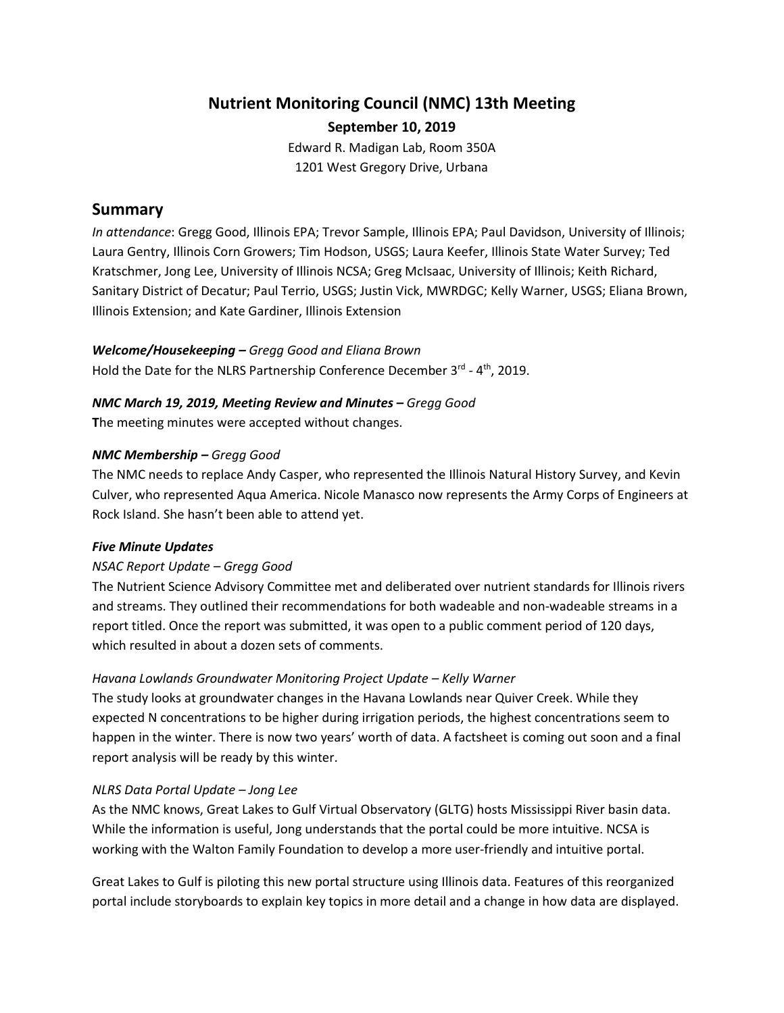# **Nutrient Monitoring Council (NMC) 13th Meeting September 10, 2019**

Edward R. Madigan Lab, Room 350A 1201 West Gregory Drive, Urbana

## **Summary**

*In attendance*: Gregg Good, Illinois EPA; Trevor Sample, Illinois EPA; Paul Davidson, University of Illinois; Laura Gentry, Illinois Corn Growers; Tim Hodson, USGS; Laura Keefer, Illinois State Water Survey; Ted Kratschmer, Jong Lee, University of Illinois NCSA; Greg McIsaac, University of Illinois; Keith Richard, Sanitary District of Decatur; Paul Terrio, USGS; Justin Vick, MWRDGC; Kelly Warner, USGS; Eliana Brown, Illinois Extension; and Kate Gardiner, Illinois Extension

## *Welcome/Housekeeping – Gregg Good and Eliana Brown*

Hold the Date for the NLRS Partnership Conference December  $3^{rd}$  -  $4^{th}$ , 2019.

## *NMC March 19, 2019, Meeting Review and Minutes – Gregg Good*

**T**he meeting minutes were accepted without changes.

## *NMC Membership – Gregg Good*

The NMC needs to replace Andy Casper, who represented the Illinois Natural History Survey, and Kevin Culver, who represented Aqua America. Nicole Manasco now represents the Army Corps of Engineers at Rock Island. She hasn't been able to attend yet.

## *Five Minute Updates*

## *NSAC Report Update – Gregg Good*

The Nutrient Science Advisory Committee met and deliberated over nutrient standards for Illinois rivers and streams. They outlined their recommendations for both wadeable and non-wadeable streams in a report titled. Once the report was submitted, it was open to a public comment period of 120 days, which resulted in about a dozen sets of comments.

## *Havana Lowlands Groundwater Monitoring Project Update – Kelly Warner*

The study looks at groundwater changes in the Havana Lowlands near Quiver Creek. While they expected N concentrations to be higher during irrigation periods, the highest concentrations seem to happen in the winter. There is now two years' worth of data. A factsheet is coming out soon and a final report analysis will be ready by this winter.

## *NLRS Data Portal Update – Jong Lee*

As the NMC knows, Great Lakes to Gulf Virtual Observatory (GLTG) hosts Mississippi River basin data. While the information is useful, Jong understands that the portal could be more intuitive. NCSA is working with the Walton Family Foundation to develop a more user-friendly and intuitive portal.

Great Lakes to Gulf is piloting this new portal structure using Illinois data. Features of this reorganized portal include storyboards to explain key topics in more detail and a change in how data are displayed.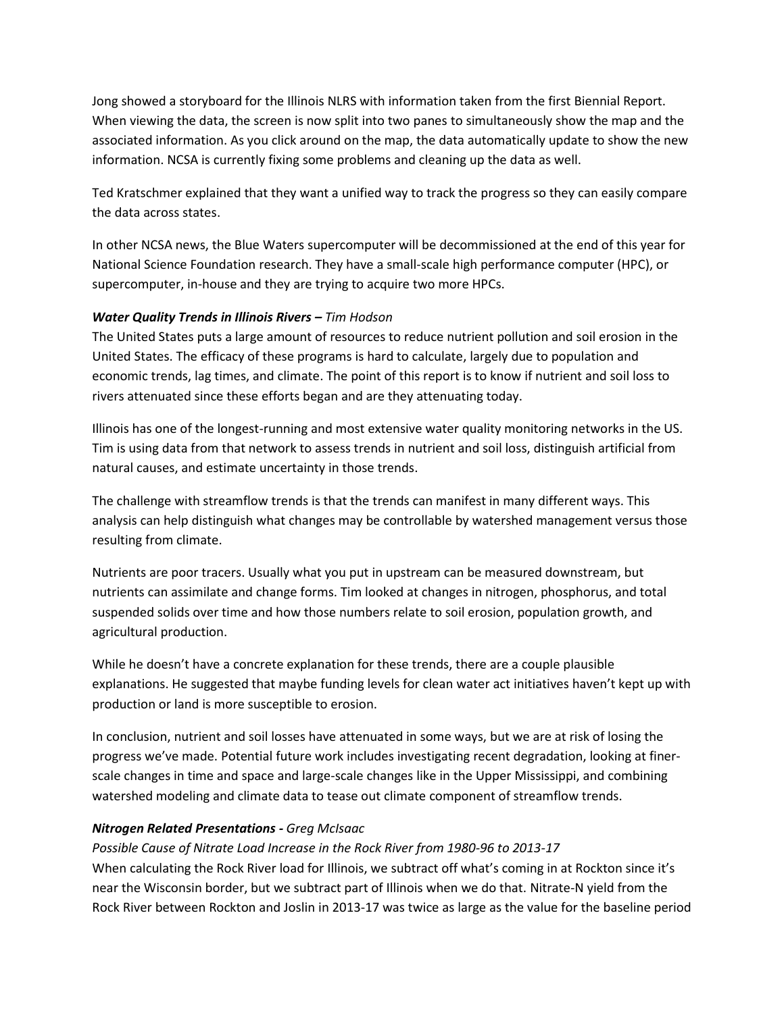Jong showed a storyboard for the Illinois NLRS with information taken from the first Biennial Report. When viewing the data, the screen is now split into two panes to simultaneously show the map and the associated information. As you click around on the map, the data automatically update to show the new information. NCSA is currently fixing some problems and cleaning up the data as well.

Ted Kratschmer explained that they want a unified way to track the progress so they can easily compare the data across states.

In other NCSA news, the Blue Waters supercomputer will be decommissioned at the end of this year for National Science Foundation research. They have a small-scale high performance computer (HPC), or supercomputer, in-house and they are trying to acquire two more HPCs.

#### *Water Quality Trends in Illinois Rivers – Tim Hodson*

The United States puts a large amount of resources to reduce nutrient pollution and soil erosion in the United States. The efficacy of these programs is hard to calculate, largely due to population and economic trends, lag times, and climate. The point of this report is to know if nutrient and soil loss to rivers attenuated since these efforts began and are they attenuating today.

Illinois has one of the longest-running and most extensive water quality monitoring networks in the US. Tim is using data from that network to assess trends in nutrient and soil loss, distinguish artificial from natural causes, and estimate uncertainty in those trends.

The challenge with streamflow trends is that the trends can manifest in many different ways. This analysis can help distinguish what changes may be controllable by watershed management versus those resulting from climate.

Nutrients are poor tracers. Usually what you put in upstream can be measured downstream, but nutrients can assimilate and change forms. Tim looked at changes in nitrogen, phosphorus, and total suspended solids over time and how those numbers relate to soil erosion, population growth, and agricultural production.

While he doesn't have a concrete explanation for these trends, there are a couple plausible explanations. He suggested that maybe funding levels for clean water act initiatives haven't kept up with production or land is more susceptible to erosion.

In conclusion, nutrient and soil losses have attenuated in some ways, but we are at risk of losing the progress we've made. Potential future work includes investigating recent degradation, looking at finerscale changes in time and space and large-scale changes like in the Upper Mississippi, and combining watershed modeling and climate data to tease out climate component of streamflow trends.

#### *Nitrogen Related Presentations - Greg McIsaac*

## *Possible Cause of Nitrate Load Increase in the Rock River from 1980-96 to 2013-17*

When calculating the Rock River load for Illinois, we subtract off what's coming in at Rockton since it's near the Wisconsin border, but we subtract part of Illinois when we do that. Nitrate-N yield from the Rock River between Rockton and Joslin in 2013-17 was twice as large as the value for the baseline period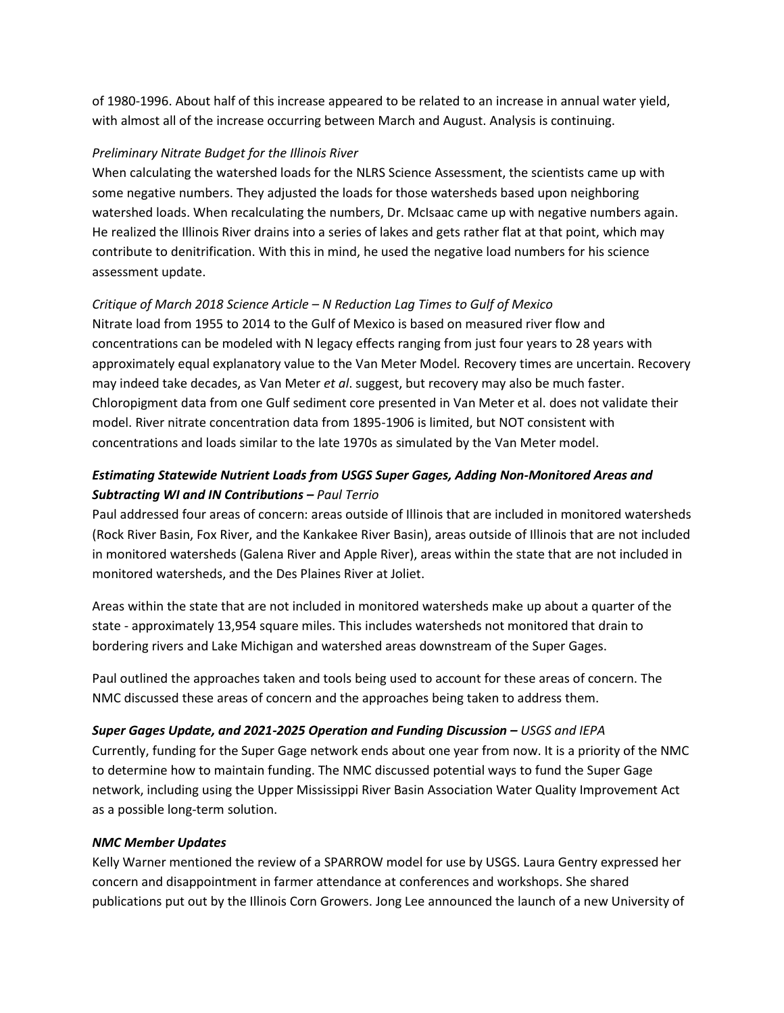of 1980-1996. About half of this increase appeared to be related to an increase in annual water yield, with almost all of the increase occurring between March and August. Analysis is continuing.

#### *Preliminary Nitrate Budget for the Illinois River*

When calculating the watershed loads for the NLRS Science Assessment, the scientists came up with some negative numbers. They adjusted the loads for those watersheds based upon neighboring watershed loads. When recalculating the numbers, Dr. McIsaac came up with negative numbers again. He realized the Illinois River drains into a series of lakes and gets rather flat at that point, which may contribute to denitrification. With this in mind, he used the negative load numbers for his science assessment update.

## *Critique of March 2018 Science Article – N Reduction Lag Times to Gulf of Mexico*

Nitrate load from 1955 to 2014 to the Gulf of Mexico is based on measured river flow and concentrations can be modeled with N legacy effects ranging from just four years to 28 years with approximately equal explanatory value to the Van Meter Model*.* Recovery times are uncertain. Recovery may indeed take decades, as Van Meter *et al*. suggest, but recovery may also be much faster. Chloropigment data from one Gulf sediment core presented in Van Meter et al. does not validate their model. River nitrate concentration data from 1895-1906 is limited, but NOT consistent with concentrations and loads similar to the late 1970s as simulated by the Van Meter model.

## *Estimating Statewide Nutrient Loads from USGS Super Gages, Adding Non-Monitored Areas and Subtracting WI and IN Contributions – Paul Terrio*

Paul addressed four areas of concern: areas outside of Illinois that are included in monitored watersheds (Rock River Basin, Fox River, and the Kankakee River Basin), areas outside of Illinois that are not included in monitored watersheds (Galena River and Apple River), areas within the state that are not included in monitored watersheds, and the Des Plaines River at Joliet.

Areas within the state that are not included in monitored watersheds make up about a quarter of the state - approximately 13,954 square miles. This includes watersheds not monitored that drain to bordering rivers and Lake Michigan and watershed areas downstream of the Super Gages.

Paul outlined the approaches taken and tools being used to account for these areas of concern. The NMC discussed these areas of concern and the approaches being taken to address them.

## *Super Gages Update, and 2021-2025 Operation and Funding Discussion – USGS and IEPA*

Currently, funding for the Super Gage network ends about one year from now. It is a priority of the NMC to determine how to maintain funding. The NMC discussed potential ways to fund the Super Gage network, including using the Upper Mississippi River Basin Association Water Quality Improvement Act as a possible long-term solution.

## *NMC Member Updates*

Kelly Warner mentioned the review of a SPARROW model for use by USGS. Laura Gentry expressed her concern and disappointment in farmer attendance at conferences and workshops. She shared publications put out by the Illinois Corn Growers. Jong Lee announced the launch of a new University of